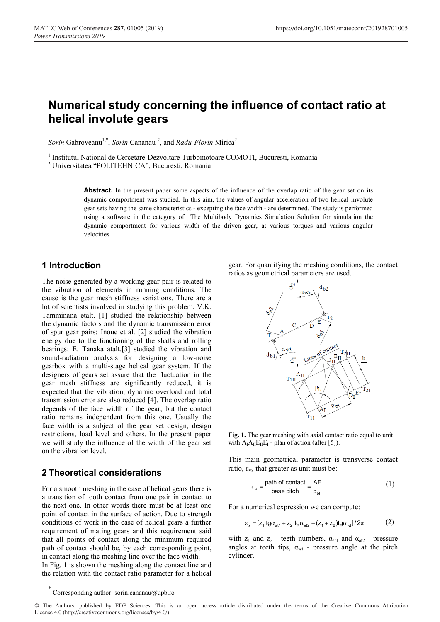# **Numerical study concerning the influence of contact ratio at helical involute gears**

Sorin Gabroveanu<sup>1,\*</sup>, Sorin Cananau<sup>2</sup>, and *Radu-Florin* Mirica<sup>2</sup>

<sup>1</sup> Institutul National de Cercetare-Dezvoltare Turbomotoare COMOTI, Bucuresti, Romania

<sup>2</sup> Universitatea "POLITEHNICA", Bucuresti, Romania

Abstract. In the present paper some aspects of the influence of the overlap ratio of the gear set on its dynamic comportment was studied. In this aim, the values of angular acceleration of two helical involute gear sets having the same characteristics - excepting the face width - are determined. The study is performed using a software in the category of The Multibody Dynamics Simulation Solution for simulation the dynamic comportment for various width of the driven gear, at various torques and various angular velocities. **Example 2018 velocities velocities velocities velocities velocities velocities velocities velocities velocities velocities velocities velocities velocities velocities velocities**

## **1 Introduction**

The noise generated by a working gear pair is related to the vibration of elements in running conditions. The cause is the gear mesh stiffness variations. There are a lot of scientists involved in studying this problem. V.K. Tamminana etalt. [1] studied the relationship between the dynamic factors and the dynamic transmission error of spur gear pairs; Inoue et al. [2] studied the vibration energy due to the functioning of the shafts and rolling bearings; E. Tanaka atalt.[3] studied the vibration and sound-radiation analysis for designing a low-noise gearbox with a multi-stage helical gear system. If the designers of gears set assure that the fluctuation in the gear mesh stiffness are significantly reduced, it is expected that the vibration, dynamic overload and total transmission error are also reduced [4]. The overlap ratio depends of the face width of the gear, but the contact ratio remains independent from this one. Usually the face width is a subject of the gear set design, design restrictions, load level and others. In the present paper we will study the influence of the width of the gear set on the vibration level.

## **2 Theoretical considerations**

For a smooth meshing in the case of helical gears there is a transition of tooth contact from one pair in contact to the next one. In other words there must be at least one point of contact in the surface of action. Due to strength conditions of work in the case of helical gears a further requirement of mating gears and this requirement said that all points of contact along the minimum required path of contact should be, by each corresponding point, in contact along the meshing line over the face width.

In Fig. 1 is shown the meshing along the contact line and the relation with the contact ratio parameter for a helical

gear. For quantifying the meshing conditions, the contact ratios as geometrical parameters are used.



**Fig. 1.** The gear meshing with axial contact ratio equal to unit with  $A_I A_{II} E_{II} E_I$  - plan of action (after [5]).

This main geometrical parameter is transverse contact ratio,  $\varepsilon_{\alpha}$ , that greater as unit must be:

$$
\varepsilon_{\alpha} = \frac{\text{path of contact}}{\text{base pitch}} = \frac{\text{AE}}{\text{p}_{\text{bt}}} \tag{1}
$$

For a numerical expression we can compute:

$$
\varepsilon_{\alpha} = [z_1 \text{tg}\alpha_{\text{at1}} + z_2 \text{tg}\alpha_{\text{at2}} - (z_1 + z_2)\text{tg}\alpha_{\text{wt}}]/2\pi
$$
 (2)

with  $z_1$  and  $z_2$  - teeth numbers,  $\alpha_{at1}$  and  $\alpha_{at2}$  - pressure angles at teeth tips,  $\alpha_{wt}$  - pressure angle at the pitch cylinder.

Corresponding author: sorin.cananau@upb.ro

<sup>©</sup> The Authors, published by EDP Sciences. This is an open access article distributed under the terms of the Creative Commons Attribution License 4.0 (http://creativecommons.org/licenses/by/4.0/).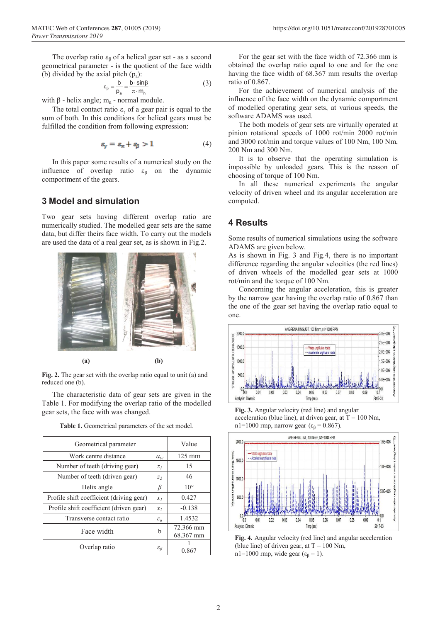The overlap ratio  $\varepsilon_{\beta}$  of a helical gear set - as a second geometrical parameter - is the quotient of the face width (b) divided by the axial pitch  $(p_a)$ :

$$
\varepsilon_{\beta} = \frac{b}{p_a} = \frac{b \cdot \sin\beta}{\pi \cdot m_n} \tag{3}
$$

with β - helix angle;  $m_n$  - normal module.

The total contact ratio  $\varepsilon_{\gamma}$  of a gear pair is equal to the sum of both. In this conditions for helical gears must be fulfilled the condition from following expression:

$$
\varepsilon_{\mathbf{v}} = \varepsilon_{\alpha} + \varepsilon_{\beta} > 1 \tag{4}
$$

In this paper some results of a numerical study on the influence of overlap ratio  $\varepsilon_{\beta}$  on the dynamic comportment of the gears.

#### **3 Model and simulation**

Two gear sets having different overlap ratio are numerically studied. The modelled gear sets are the same data, but differ theirs face width. To carry out the models are used the data of a real gear set, as is shown in Fig.2.



**Fig. 2.** The gear set with the overlap ratio equal to unit (a) and reduced one (b).

The characteristic data of gear sets are given in the Table 1. For modifying the overlap ratio of the modelled gear sets, the face with was changed.

| Geometrical parameter                    |                       | Value                  |
|------------------------------------------|-----------------------|------------------------|
| Work centre distance                     | $a_w$                 | $125 \text{ mm}$       |
| Number of teeth (driving gear)           | $Z_I$                 | 15                     |
| Number of teeth (driven gear)            | $Z_2$                 | 46                     |
| Helix angle                              | β                     | $10^{\circ}$           |
| Profile shift coefficient (driving gear) | $x_I$                 | 0.427                  |
| Profile shift coefficient (driven gear)  | x <sub>2</sub>        | $-0.138$               |
| Transverse contact ratio                 | $\varepsilon_a$       | 1.4532                 |
| Face width                               | b                     | 72.366 mm<br>68.367 mm |
| Overlap ratio                            | $\varepsilon_{\beta}$ | 0.867                  |

Table 1. Geometrical parameters of the set model.

For the gear set with the face width of 72.366 mm is obtained the overlap ratio equal to one and for the one having the face width of 68.367 mm results the overlap ratio of 0.867.

For the achievement of numerical analysis of the influence of the face width on the dynamic comportment of modelled operating gear sets, at various speeds, the software ADAMS was used.

The both models of gear sets are virtually operated at pinion rotational speeds of 1000 rot/min 2000 rot/min and 3000 rot/min and torque values of 100 Nm, 100 Nm, 200 Nm and 300 Nm.

It is to observe that the operating simulation is impossible by unloaded gears. This is the reason of choosing of torque of 100 Nm.

In all these numerical experiments the angular velocity of driven wheel and its angular acceleration are computed.

### **4 Results**

Some results of numerical simulations using the software ADAMS are given below.

As is shown in Fig. 3 and Fig.4, there is no important difference regarding the angular velocities (the red lines) of driven wheels of the modelled gear sets at 1000 rot/min and the torque of 100 Nm.

Concerning the angular acceleration, this is greater by the narrow gear having the overlap ratio of 0.867 than the one of the gear set having the overlap ratio equal to one.



**Fig. 3.** Angular velocity (red line) and angular acceleration (blue line), at driven gear, at  $T = 100$  Nm, n1=1000 rmp, narrow gear ( $\varepsilon_\beta$  = 0.867).



**Fig. 4.** Angular velocity (red line) and angular acceleration (blue line) of driven gear, at  $T = 100$  Nm, n1=1000 rmp, wide gear ( $\varepsilon_\beta$  = 1).